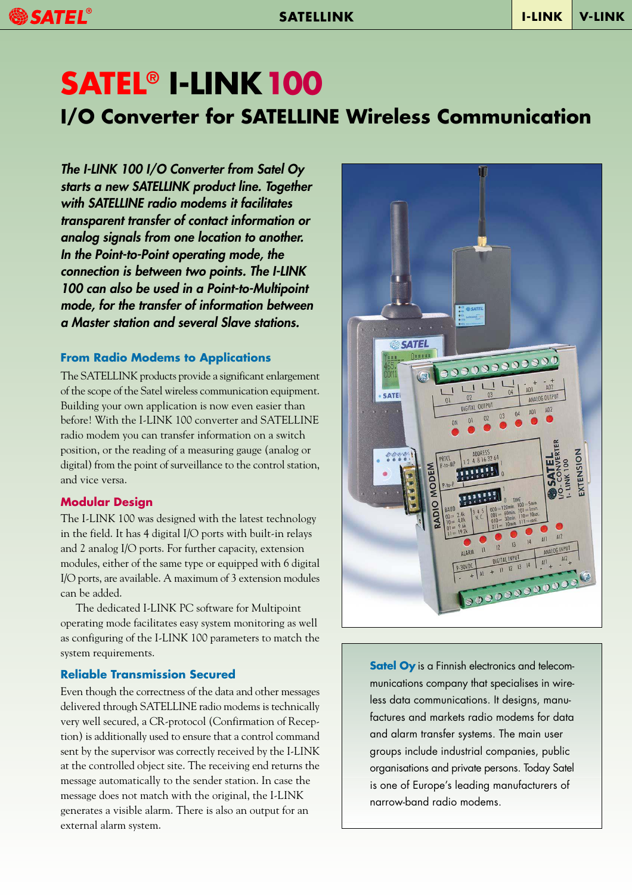# SATEL<sup>®</sup>

# **I/O Converter for SATELLINE Wireless Communication SATEL® I-LINK100**

The I-LINK 100 I/O Converter from Satel Oy starts a new SATELLINK product line. Together with SATELLINE radio modems it facilitates transparent transfer of contact information or analog signals from one location to another. In the Point-to-Point operating mode, the connection is between two points. The I-LINK 100 can also be used in a Point-to-Multipoint mode, for the transfer of information between a Master station and several Slave stations.

#### **From Radio Modems to Applications**

The SATELLINK products provide a significant enlargement of the scope of the Satel wireless communication equipment. Building your own application is now even easier than before! With the I-LINK 100 converter and SATELLINE radio modem you can transfer information on a switch position, or the reading of a measuring gauge (analog or digital) from the point of surveillance to the control station, and vice versa.

#### **Modular Design**

The I-LINK 100 was designed with the latest technology in the field. It has 4 digital I/O ports with built-in relays and 2 analog I/O ports. For further capacity, extension modules, either of the same type or equipped with 6 digital I/O ports, are available. A maximum of 3 extension modules can be added.

The dedicated I-LINK PC software for Multipoint operating mode facilitates easy system monitoring as well as configuring of the I-LINK 100 parameters to match the system requirements.

#### **Reliable Transmission Secured**

Even though the correctness of the data and other messages delivered through SATELLINE radio modems is technically very well secured, a CR-protocol (Confirmation of Reception) is additionally used to ensure that a control command sent by the supervisor was correctly received by the I-LINK at the controlled object site. The receiving end returns the message automatically to the sender station. In case the message does not match with the original, the I-LINK generates a visible alarm. There is also an output for an external alarm system.



**Satel Oy** is a Finnish electronics and telecommunications company that specialises in wireless data communications. It designs, manufactures and markets radio modems for data and alarm transfer systems. The main user groups include industrial companies, public organisations and private persons. Today Satel is one of Europe's leading manufacturers of narrow-band radio modems.